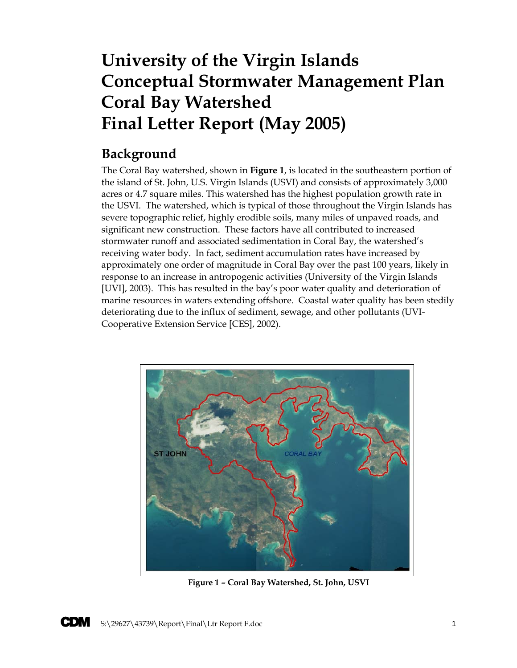# **University of the Virgin Islands Conceptual Stormwater Management Plan Coral Bay Watershed Final Letter Report (May 2005)**

# **Background**

The Coral Bay watershed, shown in **Figure 1**, is located in the southeastern portion of the island of St. John, U.S. Virgin Islands (USVI) and consists of approximately 3,000 acres or 4.7 square miles. This watershed has the highest population growth rate in the USVI. The watershed, which is typical of those throughout the Virgin Islands has severe topographic relief, highly erodible soils, many miles of unpaved roads, and significant new construction. These factors have all contributed to increased stormwater runoff and associated sedimentation in Coral Bay, the watershed's receiving water body. In fact, sediment accumulation rates have increased by approximately one order of magnitude in Coral Bay over the past 100 years, likely in response to an increase in antropogenic activities (University of the Virgin Islands [UVI], 2003). This has resulted in the bay's poor water quality and deterioration of marine resources in waters extending offshore. Coastal water quality has been stedily deteriorating due to the influx of sediment, sewage, and other pollutants (UVI-Cooperative Extension Service [CES], 2002).



**Figure 1 – Coral Bay Watershed, St. John, USVI**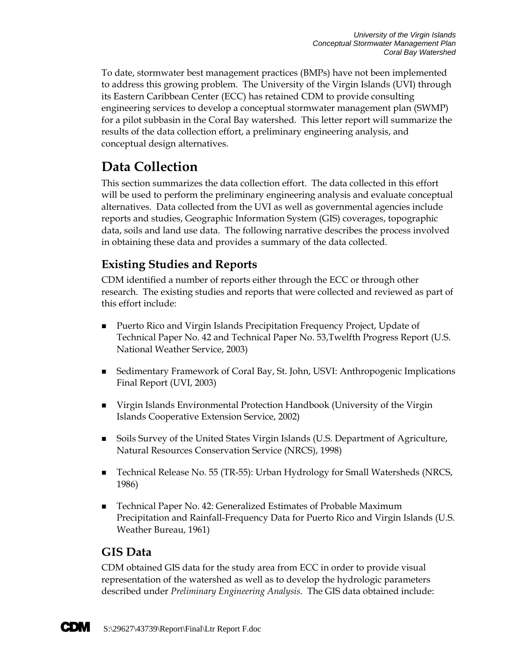To date, stormwater best management practices (BMPs) have not been implemented to address this growing problem. The University of the Virgin Islands (UVI) through its Eastern Caribbean Center (ECC) has retained CDM to provide consulting engineering services to develop a conceptual stormwater management plan (SWMP) for a pilot subbasin in the Coral Bay watershed. This letter report will summarize the results of the data collection effort, a preliminary engineering analysis, and conceptual design alternatives.

# **Data Collection**

This section summarizes the data collection effort. The data collected in this effort will be used to perform the preliminary engineering analysis and evaluate conceptual alternatives. Data collected from the UVI as well as governmental agencies include reports and studies, Geographic Information System (GIS) coverages, topographic data, soils and land use data. The following narrative describes the process involved in obtaining these data and provides a summary of the data collected.

# **Existing Studies and Reports**

CDM identified a number of reports either through the ECC or through other research. The existing studies and reports that were collected and reviewed as part of this effort include:

- **Puerto Rico and Virgin Islands Precipitation Frequency Project, Update of** Technical Paper No. 42 and Technical Paper No. 53,Twelfth Progress Report (U.S. National Weather Service, 2003)
- Sedimentary Framework of Coral Bay, St. John, USVI: Anthropogenic Implications Final Report (UVI, 2003)
- Virgin Islands Environmental Protection Handbook (University of the Virgin Islands Cooperative Extension Service, 2002)
- Soils Survey of the United States Virgin Islands (U.S. Department of Agriculture, Natural Resources Conservation Service (NRCS), 1998)
- Technical Release No. 55 (TR-55): Urban Hydrology for Small Watersheds (NRCS, 1986)
- Technical Paper No. 42: Generalized Estimates of Probable Maximum Precipitation and Rainfall-Frequency Data for Puerto Rico and Virgin Islands (U.S. Weather Bureau, 1961)

### **GIS Data**

CDM obtained GIS data for the study area from ECC in order to provide visual representation of the watershed as well as to develop the hydrologic parameters described under *Preliminary Engineering Analysis*. The GIS data obtained include:

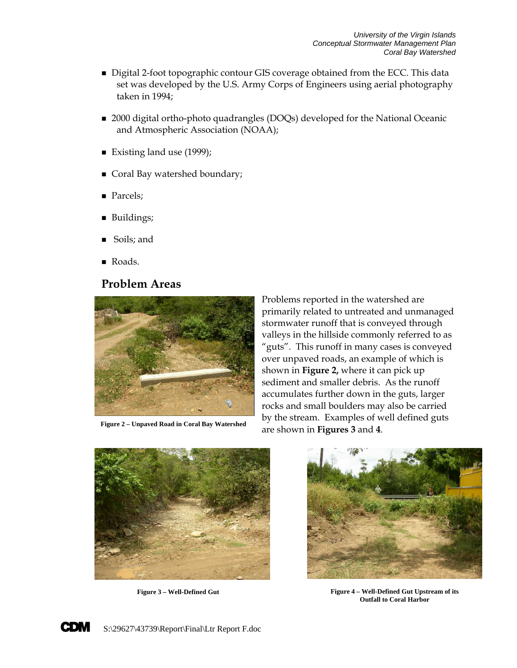- Digital 2-foot topographic contour GIS coverage obtained from the ECC. This data set was developed by the U.S. Army Corps of Engineers using aerial photography taken in 1994;
- 2000 digital ortho-photo quadrangles (DOQs) developed for the National Oceanic and Atmospheric Association (NOAA);
- Existing land use (1999);
- Coral Bay watershed boundary;
- Parcels;
- **Buildings;**
- Soils; and
- Roads.

### **Problem Areas**



Problems reported in the watershed are primarily related to untreated and unmanaged stormwater runoff that is conveyed through valleys in the hillside commonly referred to as "guts". This runoff in many cases is conveyed over unpaved roads, an example of which is shown in **Figure 2,** where it can pick up sediment and smaller debris. As the runoff accumulates further down in the guts, larger rocks and small boulders may also be carried by the stream. Examples of well defined guts are shown in **Figures 3** and **4**. **Figure 2 – Unpaved Road in Coral Bay Watershed**





**Figure 3 – Well-Defined Gut Figure 4 – Well-Defined Gut Upstream of its Outfall to Coral Harbor**

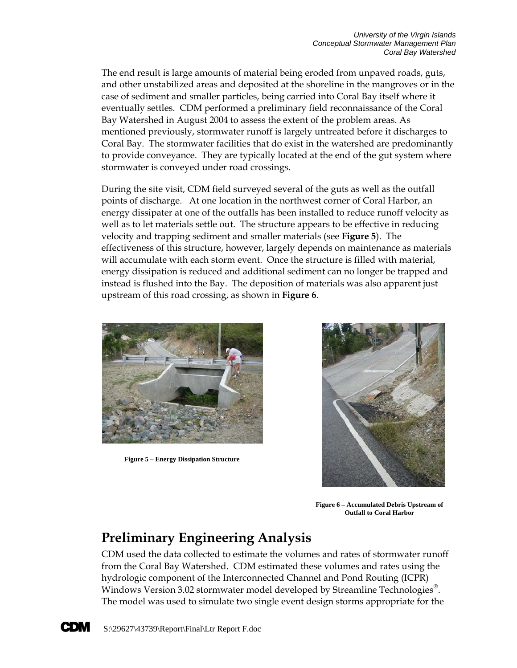The end result is large amounts of material being eroded from unpaved roads, guts, and other unstabilized areas and deposited at the shoreline in the mangroves or in the case of sediment and smaller particles, being carried into Coral Bay itself where it eventually settles. CDM performed a preliminary field reconnaissance of the Coral Bay Watershed in August 2004 to assess the extent of the problem areas. As mentioned previously, stormwater runoff is largely untreated before it discharges to Coral Bay. The stormwater facilities that do exist in the watershed are predominantly to provide conveyance. They are typically located at the end of the gut system where stormwater is conveyed under road crossings.

During the site visit, CDM field surveyed several of the guts as well as the outfall points of discharge. At one location in the northwest corner of Coral Harbor, an energy dissipater at one of the outfalls has been installed to reduce runoff velocity as well as to let materials settle out. The structure appears to be effective in reducing velocity and trapping sediment and smaller materials (see **Figure 5**). The effectiveness of this structure, however, largely depends on maintenance as materials will accumulate with each storm event. Once the structure is filled with material, energy dissipation is reduced and additional sediment can no longer be trapped and instead is flushed into the Bay. The deposition of materials was also apparent just upstream of this road crossing, as shown in **Figure 6**.



**Figure 5 – Energy Dissipation Structure**



**Figure 6 – Accumulated Debris Upstream of Outfall to Coral Harbor**

# **Preliminary Engineering Analysis**

CDM used the data collected to estimate the volumes and rates of stormwater runoff from the Coral Bay Watershed. CDM estimated these volumes and rates using the hydrologic component of the Interconnected Channel and Pond Routing (ICPR) Windows Version 3.02 stormwater model developed by Streamline Technologies<sup>®</sup>. The model was used to simulate two single event design storms appropriate for the

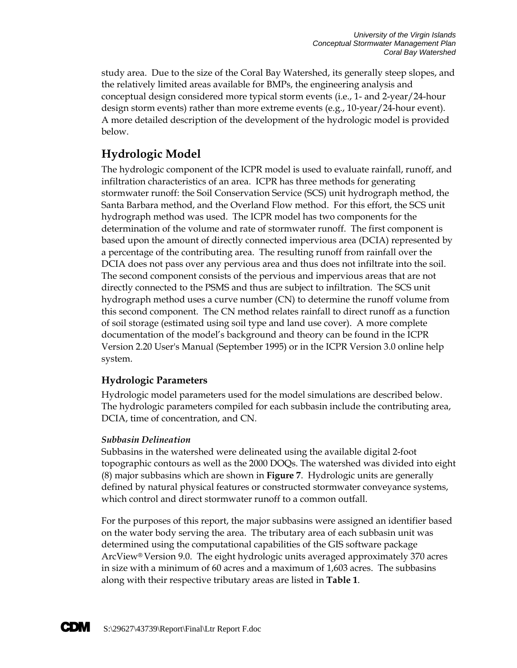study area. Due to the size of the Coral Bay Watershed, its generally steep slopes, and the relatively limited areas available for BMPs, the engineering analysis and conceptual design considered more typical storm events (i.e., 1- and 2-year/24-hour design storm events) rather than more extreme events (e.g., 10-year/24-hour event). A more detailed description of the development of the hydrologic model is provided below.

## **Hydrologic Model**

The hydrologic component of the ICPR model is used to evaluate rainfall, runoff, and infiltration characteristics of an area. ICPR has three methods for generating stormwater runoff: the Soil Conservation Service (SCS) unit hydrograph method, the Santa Barbara method, and the Overland Flow method. For this effort, the SCS unit hydrograph method was used. The ICPR model has two components for the determination of the volume and rate of stormwater runoff. The first component is based upon the amount of directly connected impervious area (DCIA) represented by a percentage of the contributing area. The resulting runoff from rainfall over the DCIA does not pass over any pervious area and thus does not infiltrate into the soil. The second component consists of the pervious and impervious areas that are not directly connected to the PSMS and thus are subject to infiltration. The SCS unit hydrograph method uses a curve number (CN) to determine the runoff volume from this second component. The CN method relates rainfall to direct runoff as a function of soil storage (estimated using soil type and land use cover). A more complete documentation of the model's background and theory can be found in the ICPR Version 2.20 User's Manual (September 1995) or in the ICPR Version 3.0 online help system.

### **Hydrologic Parameters**

Hydrologic model parameters used for the model simulations are described below. The hydrologic parameters compiled for each subbasin include the contributing area, DCIA, time of concentration, and CN.

### *Subbasin Delineation*

Subbasins in the watershed were delineated using the available digital 2-foot topographic contours as well as the 2000 DOQs. The watershed was divided into eight (8) major subbasins which are shown in **Figure 7**. Hydrologic units are generally defined by natural physical features or constructed stormwater conveyance systems, which control and direct stormwater runoff to a common outfall.

For the purposes of this report, the major subbasins were assigned an identifier based on the water body serving the area. The tributary area of each subbasin unit was determined using the computational capabilities of the GIS software package ArcView® Version 9.0. The eight hydrologic units averaged approximately 370 acres in size with a minimum of 60 acres and a maximum of 1,603 acres. The subbasins along with their respective tributary areas are listed in **Table 1**.

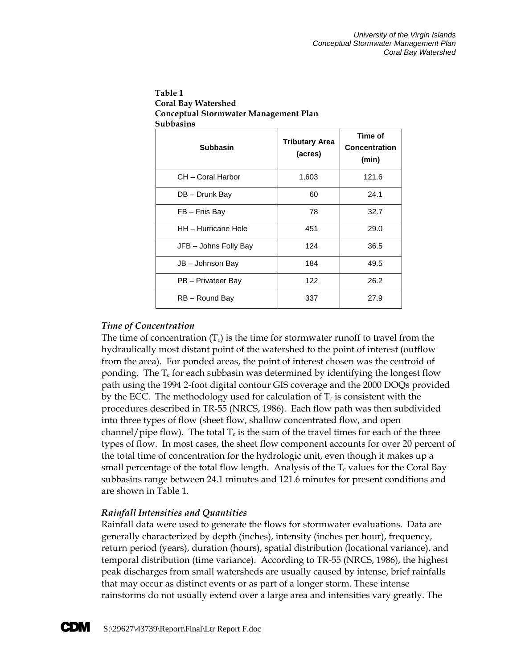| ັ<br>Subbasins        |                                  |                                   |  |
|-----------------------|----------------------------------|-----------------------------------|--|
| <b>Subbasin</b>       | <b>Tributary Area</b><br>(acres) | Time of<br>Concentration<br>(min) |  |
| CH - Coral Harbor     | 1,603                            | 121.6                             |  |
| DB - Drunk Bay        | 60                               | 24.1                              |  |
| FB - Friis Bay        | 78                               | 32.7                              |  |
| HH - Hurricane Hole   | 451                              | 29.0                              |  |
| JFB - Johns Folly Bay | 124                              | 36.5                              |  |
| JB - Johnson Bay      | 184                              | 49.5                              |  |
| PB - Privateer Bay    | 122                              | 26.2                              |  |
| RB - Round Bay        | 337                              | 27.9                              |  |

**Table 1 Coral Bay Watershed Conceptual Stormwater Management Plan** 

### *Time of Concentration*

The time of concentration  $(T_c)$  is the time for stormwater runoff to travel from the hydraulically most distant point of the watershed to the point of interest (outflow from the area). For ponded areas, the point of interest chosen was the centroid of ponding. The  $T_c$  for each subbasin was determined by identifying the longest flow path using the 1994 2-foot digital contour GIS coverage and the 2000 DOQs provided by the ECC. The methodology used for calculation of  $T_c$  is consistent with the procedures described in TR-55 (NRCS, 1986). Each flow path was then subdivided into three types of flow (sheet flow, shallow concentrated flow, and open channel/pipe flow). The total  $T_c$  is the sum of the travel times for each of the three types of flow. In most cases, the sheet flow component accounts for over 20 percent of the total time of concentration for the hydrologic unit, even though it makes up a small percentage of the total flow length. Analysis of the  $T_c$  values for the Coral Bay subbasins range between 24.1 minutes and 121.6 minutes for present conditions and are shown in Table 1.

### *Rainfall Intensities and Quantities*

Rainfall data were used to generate the flows for stormwater evaluations. Data are generally characterized by depth (inches), intensity (inches per hour), frequency, return period (years), duration (hours), spatial distribution (locational variance), and temporal distribution (time variance). According to TR-55 (NRCS, 1986), the highest peak discharges from small watersheds are usually caused by intense, brief rainfalls that may occur as distinct events or as part of a longer storm. These intense rainstorms do not usually extend over a large area and intensities vary greatly. The

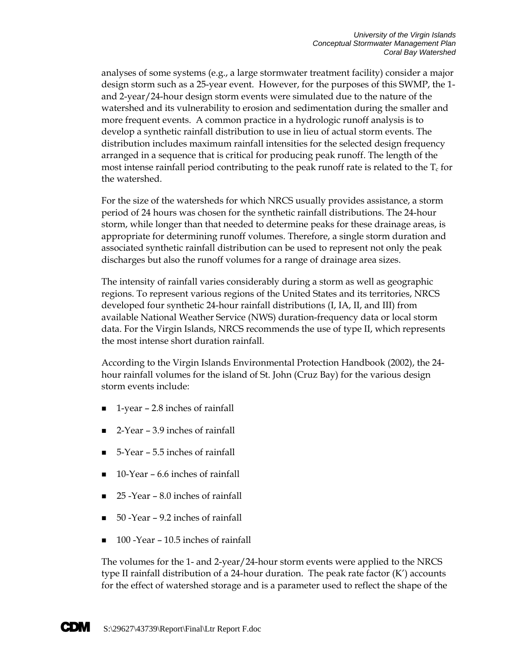analyses of some systems (e.g., a large stormwater treatment facility) consider a major design storm such as a 25-year event. However, for the purposes of this SWMP, the 1 and 2-year/24-hour design storm events were simulated due to the nature of the watershed and its vulnerability to erosion and sedimentation during the smaller and more frequent events. A common practice in a hydrologic runoff analysis is to develop a synthetic rainfall distribution to use in lieu of actual storm events. The distribution includes maximum rainfall intensities for the selected design frequency arranged in a sequence that is critical for producing peak runoff. The length of the most intense rainfall period contributing to the peak runoff rate is related to the  $T_c$  for the watershed.

For the size of the watersheds for which NRCS usually provides assistance, a storm period of 24 hours was chosen for the synthetic rainfall distributions. The 24-hour storm, while longer than that needed to determine peaks for these drainage areas, is appropriate for determining runoff volumes. Therefore, a single storm duration and associated synthetic rainfall distribution can be used to represent not only the peak discharges but also the runoff volumes for a range of drainage area sizes.

The intensity of rainfall varies considerably during a storm as well as geographic regions. To represent various regions of the United States and its territories, NRCS developed four synthetic 24-hour rainfall distributions (I, IA, II, and III) from available National Weather Service (NWS) duration-frequency data or local storm data. For the Virgin Islands, NRCS recommends the use of type II, which represents the most intense short duration rainfall.

According to the Virgin Islands Environmental Protection Handbook (2002), the 24 hour rainfall volumes for the island of St. John (Cruz Bay) for the various design storm events include:

- 1-year 2.8 inches of rainfall
- 2-Year 3.9 inches of rainfall
- 5-Year 5.5 inches of rainfall
- 10-Year 6.6 inches of rainfall
- 25 -Year 8.0 inches of rainfall
- 50 -Year 9.2 inches of rainfall
- 100 -Year 10.5 inches of rainfall

The volumes for the 1- and 2-year/24-hour storm events were applied to the NRCS type II rainfall distribution of a 24-hour duration. The peak rate factor (K') accounts for the effect of watershed storage and is a parameter used to reflect the shape of the

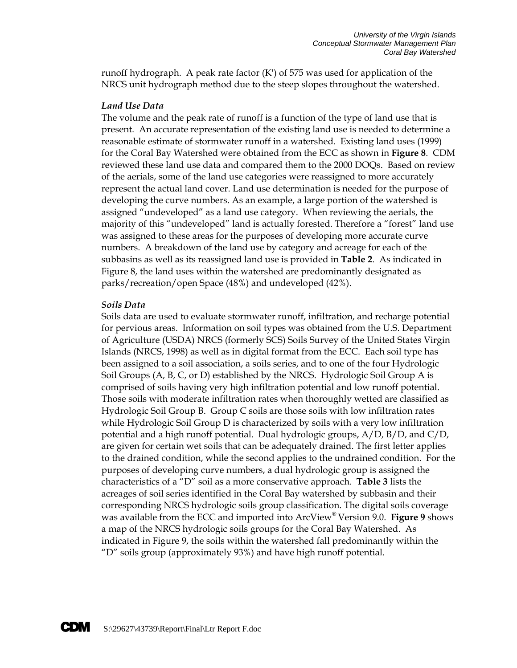runoff hydrograph. A peak rate factor (K') of 575 was used for application of the NRCS unit hydrograph method due to the steep slopes throughout the watershed.

#### *Land Use Data*

The volume and the peak rate of runoff is a function of the type of land use that is present. An accurate representation of the existing land use is needed to determine a reasonable estimate of stormwater runoff in a watershed. Existing land uses (1999) for the Coral Bay Watershed were obtained from the ECC as shown in **Figure 8**. CDM reviewed these land use data and compared them to the 2000 DOQs. Based on review of the aerials, some of the land use categories were reassigned to more accurately represent the actual land cover. Land use determination is needed for the purpose of developing the curve numbers. As an example, a large portion of the watershed is assigned "undeveloped" as a land use category. When reviewing the aerials, the majority of this "undeveloped" land is actually forested. Therefore a "forest" land use was assigned to these areas for the purposes of developing more accurate curve numbers. A breakdown of the land use by category and acreage for each of the subbasins as well as its reassigned land use is provided in **Table 2**. As indicated in Figure 8, the land uses within the watershed are predominantly designated as parks/recreation/open Space (48%) and undeveloped (42%).

#### *Soils Data*

Soils data are used to evaluate stormwater runoff, infiltration, and recharge potential for pervious areas. Information on soil types was obtained from the U.S. Department of Agriculture (USDA) NRCS (formerly SCS) Soils Survey of the United States Virgin Islands (NRCS, 1998) as well as in digital format from the ECC. Each soil type has been assigned to a soil association, a soils series, and to one of the four Hydrologic Soil Groups (A, B, C, or D) established by the NRCS. Hydrologic Soil Group A is comprised of soils having very high infiltration potential and low runoff potential. Those soils with moderate infiltration rates when thoroughly wetted are classified as Hydrologic Soil Group B. Group C soils are those soils with low infiltration rates while Hydrologic Soil Group D is characterized by soils with a very low infiltration potential and a high runoff potential. Dual hydrologic groups, A/D, B/D, and C/D, are given for certain wet soils that can be adequately drained. The first letter applies to the drained condition, while the second applies to the undrained condition. For the purposes of developing curve numbers, a dual hydrologic group is assigned the characteristics of a "D" soil as a more conservative approach. **Table 3** lists the acreages of soil series identified in the Coral Bay watershed by subbasin and their corresponding NRCS hydrologic soils group classification. The digital soils coverage was available from the ECC and imported into ArcView® Version 9.0. **Figure 9** shows a map of the NRCS hydrologic soils groups for the Coral Bay Watershed. As indicated in Figure 9, the soils within the watershed fall predominantly within the "D" soils group (approximately 93%) and have high runoff potential.

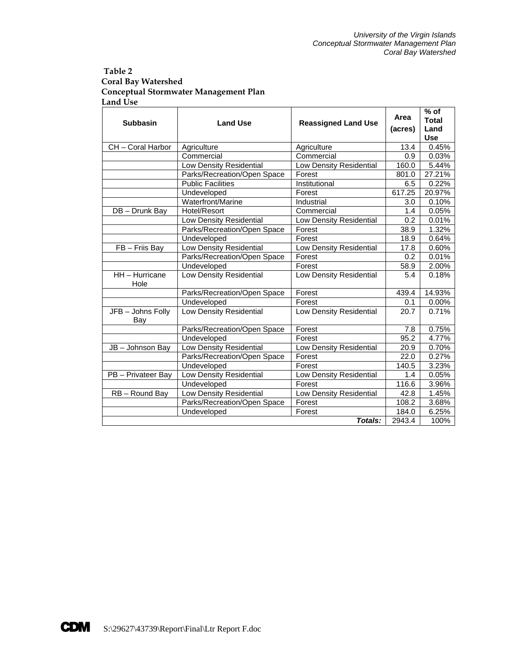#### **Table 2 Coral Bay Watershed Conceptual Stormwater Management Plan Land Use**

| <b>Subbasin</b>          |                             |                                |         | Area<br><b>Land Use</b><br><b>Reassigned Land Use</b> |  | $%$ of<br><b>Total</b> |
|--------------------------|-----------------------------|--------------------------------|---------|-------------------------------------------------------|--|------------------------|
|                          |                             |                                | (acres) | Land                                                  |  |                        |
|                          |                             |                                |         | <b>Use</b>                                            |  |                        |
| CH - Coral Harbor        | Agriculture                 | Agriculture                    | 13.4    | 0.45%                                                 |  |                        |
|                          | Commercial                  | Commercial                     | 0.9     | 0.03%                                                 |  |                        |
|                          | Low Density Residential     | Low Density Residential        | 160.0   | 5.44%                                                 |  |                        |
|                          | Parks/Recreation/Open Space | Forest                         | 801.0   | 27.21%                                                |  |                        |
|                          | <b>Public Facilities</b>    | Institutional                  | 6.5     | 0.22%                                                 |  |                        |
|                          | Undeveloped                 | Forest                         | 617.25  | 20.97%                                                |  |                        |
|                          | Waterfront/Marine           | Industrial                     | 3.0     | 0.10%                                                 |  |                        |
| DB - Drunk Bay           | Hotel/Resort                | Commercial                     | 1.4     | 0.05%                                                 |  |                        |
|                          | Low Density Residential     | <b>Low Density Residential</b> | 0.2     | 0.01%                                                 |  |                        |
|                          | Parks/Recreation/Open Space | Forest                         | 38.9    | 1.32%                                                 |  |                        |
|                          | Undeveloped                 | Forest                         | 18.9    | 0.64%                                                 |  |                        |
| FB - Friis Bay           | Low Density Residential     | Low Density Residential        | 17.8    | 0.60%                                                 |  |                        |
|                          | Parks/Recreation/Open Space | Forest                         | 0.2     | 0.01%                                                 |  |                        |
|                          | Undeveloped                 | Forest                         | 58.9    | 2.00%                                                 |  |                        |
| HH - Hurricane<br>Hole   | Low Density Residential     | Low Density Residential        | 5.4     | 0.18%                                                 |  |                        |
|                          | Parks/Recreation/Open Space | Forest                         | 439.4   | 14.93%                                                |  |                        |
|                          | Undeveloped                 | Forest                         | 0.1     | 0.00%                                                 |  |                        |
| JFB - Johns Folly<br>Bay | Low Density Residential     | Low Density Residential        | 20.7    | 0.71%                                                 |  |                        |
|                          | Parks/Recreation/Open Space | Forest                         | 7.8     | 0.75%                                                 |  |                        |
|                          | Undeveloped                 | Forest                         | 95.2    | 4.77%                                                 |  |                        |
| JB - Johnson Bay         | Low Density Residential     | Low Density Residential        | 20.9    | 0.70%                                                 |  |                        |
|                          | Parks/Recreation/Open Space | Forest                         | 22.0    | 0.27%                                                 |  |                        |
|                          | Undeveloped                 | Forest                         | 140.5   | 3.23%                                                 |  |                        |
| PB - Privateer Bay       | Low Density Residential     | Low Density Residential        | 1.4     | 0.05%                                                 |  |                        |
|                          | Undeveloped                 | Forest                         | 116.6   | 3.96%                                                 |  |                        |
| RB-Round Bay             | Low Density Residential     | Low Density Residential        | 42.8    | 1.45%                                                 |  |                        |
|                          | Parks/Recreation/Open Space | Forest                         | 108.2   | 3.68%                                                 |  |                        |
|                          | Undeveloped                 | Forest                         | 184.0   | 6.25%                                                 |  |                        |
|                          |                             | Totals:                        | 2943.4  | 100%                                                  |  |                        |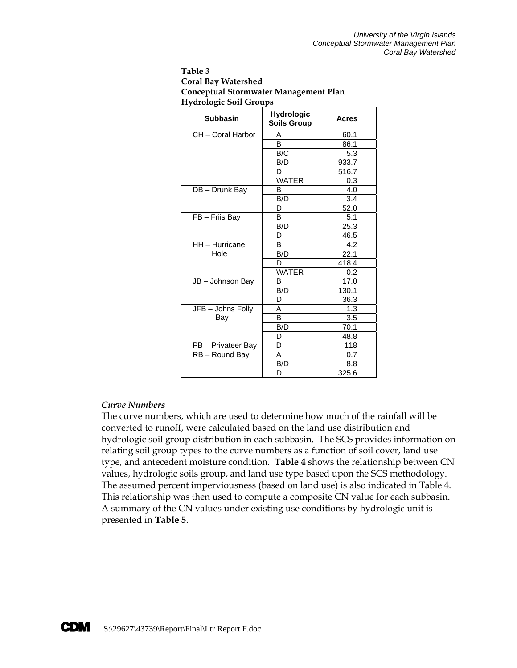| Table 3                               |
|---------------------------------------|
| <b>Coral Bay Watershed</b>            |
| Conceptual Stormwater Management Plan |
| <b>Hydrologic Soil Groups</b>         |

| <b>Subbasin</b>    | <b>Hydrologic</b><br><b>Soils Group</b> | <b>Acres</b> |
|--------------------|-----------------------------------------|--------------|
| CH - Coral Harbor  | A                                       | 60.1         |
|                    | B                                       | 86.1         |
|                    | B/C                                     | 5.3          |
|                    | B/D                                     | 933.7        |
|                    | D                                       | 516.7        |
|                    | <b>WATER</b>                            | 0.3          |
| DB-Drunk Bay       | B                                       | 4.0          |
|                    | B/D                                     | 3.4          |
|                    | D                                       | 52.0         |
| FB - Friis Bay     | B                                       | 5.1          |
|                    | B/D                                     | 25.3         |
|                    | D                                       | 46.5         |
| HH - Hurricane     | B                                       | 4.2          |
| Hole               | B/D                                     | 22.1         |
|                    | D                                       | 418.4        |
|                    | <b>WATER</b>                            | 0.2          |
| JB - Johnson Bay   | В                                       | 17.0         |
|                    | B/D                                     | 130.1        |
|                    | D                                       | 36.3         |
| JFB - Johns Folly  | Α                                       | 1.3          |
| Bay                | B                                       | 3.5          |
|                    | B/D                                     | 70.1         |
|                    | D                                       | 48.8         |
| PB - Privateer Bay | D                                       | 118          |
| RB-Round Bay       | Α                                       | 0.7          |
|                    | B/D                                     | 8.8          |
|                    | D                                       | 325.6        |

#### *Curve Numbers*

The curve numbers, which are used to determine how much of the rainfall will be converted to runoff, were calculated based on the land use distribution and hydrologic soil group distribution in each subbasin. The SCS provides information on relating soil group types to the curve numbers as a function of soil cover, land use type, and antecedent moisture condition. **Table 4** shows the relationship between CN values, hydrologic soils group, and land use type based upon the SCS methodology. The assumed percent imperviousness (based on land use) is also indicated in Table 4. This relationship was then used to compute a composite CN value for each subbasin. A summary of the CN values under existing use conditions by hydrologic unit is presented in **Table 5**.

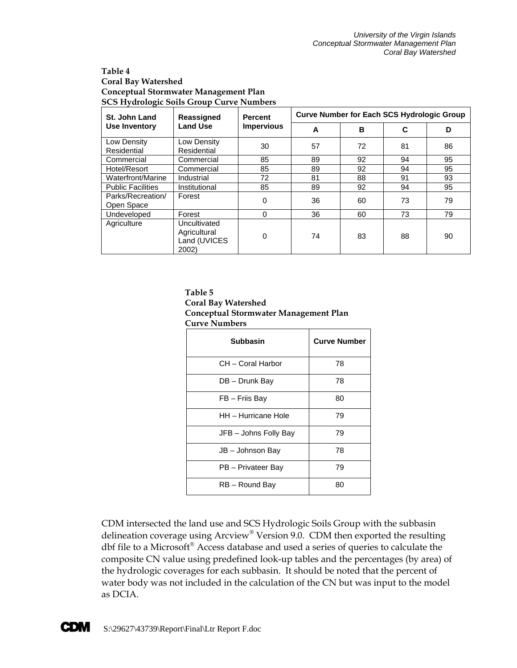#### **Table 4 Coral Bay Watershed Conceptual Stormwater Management Plan SCS Hydrologic Soils Group Curve Numbers**

| St. John Land                   | Reassigned                                            | <b>Percent</b><br><b>Impervious</b> | <b>Curve Number for Each SCS Hydrologic Group</b> |    |    |    |
|---------------------------------|-------------------------------------------------------|-------------------------------------|---------------------------------------------------|----|----|----|
| Use Inventory                   | <b>Land Use</b>                                       |                                     | A                                                 | B  | C  | D  |
| Low Density<br>Residential      | Low Density<br>Residential                            | 30                                  | 57                                                | 72 | 81 | 86 |
| Commercial                      | Commercial                                            | 85                                  | 89                                                | 92 | 94 | 95 |
| Hotel/Resort                    | Commercial                                            | 85                                  | 89                                                | 92 | 94 | 95 |
| Waterfront/Marine               | Industrial                                            | 72                                  | 81                                                | 88 | 91 | 93 |
| <b>Public Facilities</b>        | Institutional                                         | 85                                  | 89                                                | 92 | 94 | 95 |
| Parks/Recreation/<br>Open Space | Forest                                                | $\Omega$                            | 36                                                | 60 | 73 | 79 |
| Undeveloped                     | Forest                                                | $\Omega$                            | 36                                                | 60 | 73 | 79 |
| Agriculture                     | Uncultivated<br>Agricultural<br>Land (UVICES<br>2002) | 0                                   | 74                                                | 83 | 88 | 90 |

#### **Table 5**

### **Coral Bay Watershed Conceptual Stormwater Management Plan Curve Numbers**

| Subbasin              | <b>Curve Number</b> |
|-----------------------|---------------------|
| CH – Coral Harbor     | 78                  |
| DB - Drunk Bay        | 78                  |
| FB - Friis Bay        | 80                  |
| HH - Hurricane Hole   | 79                  |
| JFB - Johns Folly Bay | 79                  |
| JB - Johnson Bay      | 78                  |
| PB - Privateer Bay    | 79                  |
| RB - Round Bay        | 80                  |

CDM intersected the land use and SCS Hydrologic Soils Group with the subbasin delineation coverage using Arcview® Version 9.0. CDM then exported the resulting dbf file to a Microsoft® Access database and used a series of queries to calculate the composite CN value using predefined look-up tables and the percentages (by area) of the hydrologic coverages for each subbasin. It should be noted that the percent of water body was not included in the calculation of the CN but was input to the model as DCIA.

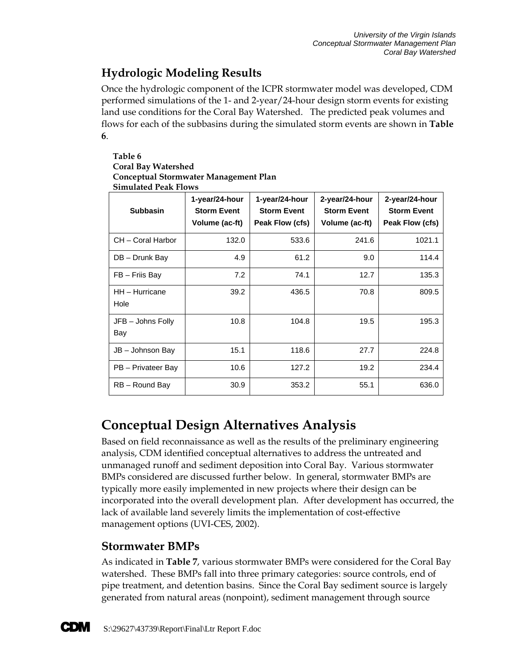# **Hydrologic Modeling Results**

Once the hydrologic component of the ICPR stormwater model was developed, CDM performed simulations of the 1- and 2-year/24-hour design storm events for existing land use conditions for the Coral Bay Watershed. The predicted peak volumes and flows for each of the subbasins during the simulated storm events are shown in **Table 6**.

#### **Table 6 Coral Bay Watershed Conceptual Stormwater Management Plan Simulated Peak Flows**

| <b>Subbasin</b>          | 1-year/24-hour<br><b>Storm Event</b><br>Volume (ac-ft) | 1-year/24-hour<br><b>Storm Event</b><br>Peak Flow (cfs) | 2-year/24-hour<br><b>Storm Event</b><br>Volume (ac-ft) | 2-year/24-hour<br><b>Storm Event</b><br>Peak Flow (cfs) |
|--------------------------|--------------------------------------------------------|---------------------------------------------------------|--------------------------------------------------------|---------------------------------------------------------|
| CH - Coral Harbor        | 132.0                                                  | 533.6                                                   | 241.6                                                  | 1021.1                                                  |
| DB - Drunk Bay           | 4.9                                                    | 61.2                                                    | 9.0                                                    | 114.4                                                   |
| FB - Friis Bay           | 7.2                                                    | 74.1                                                    | 12.7                                                   | 135.3                                                   |
| HH - Hurricane<br>Hole   | 39.2                                                   | 436.5                                                   | 70.8                                                   | 809.5                                                   |
| JFB - Johns Folly<br>Bay | 10.8                                                   | 104.8                                                   | 19.5                                                   | 195.3                                                   |
| JB - Johnson Bay         | 15.1                                                   | 118.6                                                   | 27.7                                                   | 224.8                                                   |
| PB - Privateer Bay       | 10.6                                                   | 127.2                                                   | 19.2                                                   | 234.4                                                   |
| RB - Round Bay           | 30.9                                                   | 353.2                                                   | 55.1                                                   | 636.0                                                   |

# **Conceptual Design Alternatives Analysis**

Based on field reconnaissance as well as the results of the preliminary engineering analysis, CDM identified conceptual alternatives to address the untreated and unmanaged runoff and sediment deposition into Coral Bay. Various stormwater BMPs considered are discussed further below. In general, stormwater BMPs are typically more easily implemented in new projects where their design can be incorporated into the overall development plan. After development has occurred, the lack of available land severely limits the implementation of cost-effective management options (UVI-CES, 2002).

### **Stormwater BMPs**

As indicated in **Table 7**, various stormwater BMPs were considered for the Coral Bay watershed. These BMPs fall into three primary categories: source controls, end of pipe treatment, and detention basins. Since the Coral Bay sediment source is largely generated from natural areas (nonpoint), sediment management through source

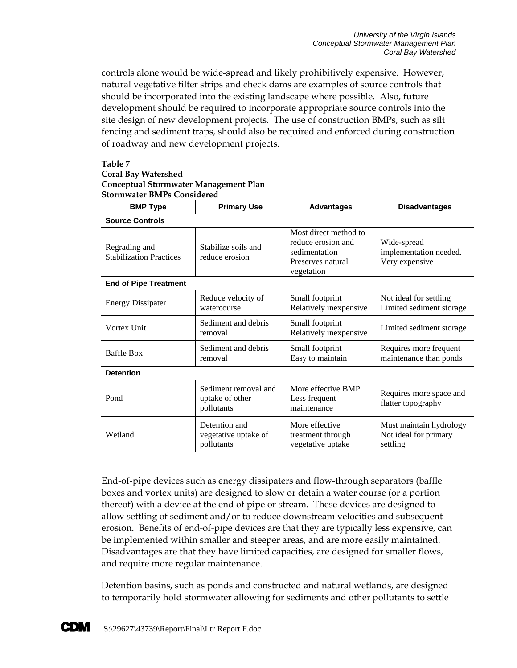controls alone would be wide-spread and likely prohibitively expensive. However, natural vegetative filter strips and check dams are examples of source controls that should be incorporated into the existing landscape where possible. Also, future development should be required to incorporate appropriate source controls into the site design of new development projects. The use of construction BMPs, such as silt fencing and sediment traps, should also be required and enforced during construction of roadway and new development projects.

#### **Table 7**

#### **Coral Bay Watershed**

#### **Conceptual Stormwater Management Plan Stormwater BMPs Considered**

| <b>BMP Type</b>                                                                          | <b>Primary Use</b>                                    | <b>Advantages</b>                                                                               | <b>Disadvantages</b>                                         |  |  |  |
|------------------------------------------------------------------------------------------|-------------------------------------------------------|-------------------------------------------------------------------------------------------------|--------------------------------------------------------------|--|--|--|
| <b>Source Controls</b>                                                                   |                                                       |                                                                                                 |                                                              |  |  |  |
| Stabilize soils and<br>Regrading and<br><b>Stabilization Practices</b><br>reduce erosion |                                                       | Most direct method to<br>reduce erosion and<br>sedimentation<br>Preserves natural<br>vegetation | Wide-spread<br>implementation needed.<br>Very expensive      |  |  |  |
| <b>End of Pipe Treatment</b>                                                             |                                                       |                                                                                                 |                                                              |  |  |  |
| <b>Energy Dissipater</b>                                                                 | Reduce velocity of<br>watercourse                     | Small footprint<br>Relatively inexpensive                                                       | Not ideal for settling<br>Limited sediment storage           |  |  |  |
| Vortex Unit                                                                              | Sediment and debris<br>removal                        | Small footprint<br>Relatively inexpensive                                                       | Limited sediment storage                                     |  |  |  |
| Sediment and debris<br><b>Baffle Box</b><br>removal                                      |                                                       | Small footprint<br>Easy to maintain                                                             | Requires more frequent<br>maintenance than ponds             |  |  |  |
| <b>Detention</b>                                                                         |                                                       |                                                                                                 |                                                              |  |  |  |
| Pond                                                                                     | Sediment removal and<br>uptake of other<br>pollutants | More effective BMP<br>Less frequent<br>maintenance                                              | Requires more space and<br>flatter topography                |  |  |  |
| Wetland                                                                                  | Detention and<br>vegetative uptake of<br>pollutants   | More effective<br>treatment through<br>vegetative uptake                                        | Must maintain hydrology<br>Not ideal for primary<br>settling |  |  |  |

End-of-pipe devices such as energy dissipaters and flow-through separators (baffle boxes and vortex units) are designed to slow or detain a water course (or a portion thereof) with a device at the end of pipe or stream. These devices are designed to allow settling of sediment and/or to reduce downstream velocities and subsequent erosion. Benefits of end-of-pipe devices are that they are typically less expensive, can be implemented within smaller and steeper areas, and are more easily maintained. Disadvantages are that they have limited capacities, are designed for smaller flows, and require more regular maintenance.

Detention basins, such as ponds and constructed and natural wetlands, are designed to temporarily hold stormwater allowing for sediments and other pollutants to settle

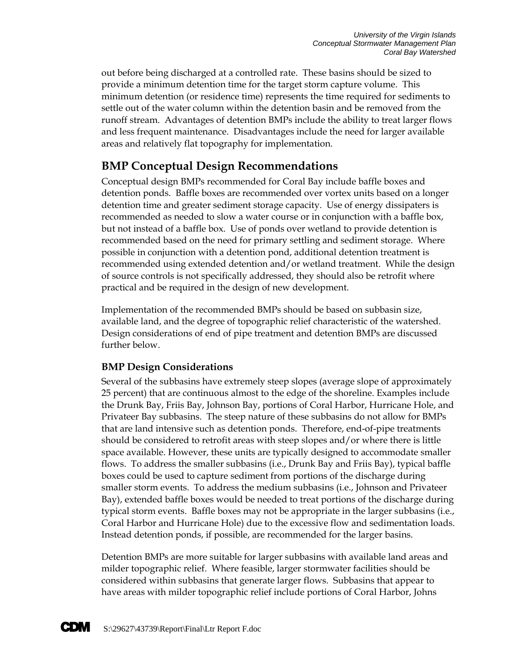out before being discharged at a controlled rate. These basins should be sized to provide a minimum detention time for the target storm capture volume. This minimum detention (or residence time) represents the time required for sediments to settle out of the water column within the detention basin and be removed from the runoff stream. Advantages of detention BMPs include the ability to treat larger flows and less frequent maintenance. Disadvantages include the need for larger available areas and relatively flat topography for implementation.

### **BMP Conceptual Design Recommendations**

Conceptual design BMPs recommended for Coral Bay include baffle boxes and detention ponds. Baffle boxes are recommended over vortex units based on a longer detention time and greater sediment storage capacity. Use of energy dissipaters is recommended as needed to slow a water course or in conjunction with a baffle box, but not instead of a baffle box. Use of ponds over wetland to provide detention is recommended based on the need for primary settling and sediment storage. Where possible in conjunction with a detention pond, additional detention treatment is recommended using extended detention and/or wetland treatment. While the design of source controls is not specifically addressed, they should also be retrofit where practical and be required in the design of new development.

Implementation of the recommended BMPs should be based on subbasin size, available land, and the degree of topographic relief characteristic of the watershed. Design considerations of end of pipe treatment and detention BMPs are discussed further below.

### **BMP Design Considerations**

Several of the subbasins have extremely steep slopes (average slope of approximately 25 percent) that are continuous almost to the edge of the shoreline. Examples include the Drunk Bay, Friis Bay, Johnson Bay, portions of Coral Harbor, Hurricane Hole, and Privateer Bay subbasins. The steep nature of these subbasins do not allow for BMPs that are land intensive such as detention ponds. Therefore, end-of-pipe treatments should be considered to retrofit areas with steep slopes and/or where there is little space available. However, these units are typically designed to accommodate smaller flows. To address the smaller subbasins (i.e., Drunk Bay and Friis Bay), typical baffle boxes could be used to capture sediment from portions of the discharge during smaller storm events. To address the medium subbasins (i.e., Johnson and Privateer Bay), extended baffle boxes would be needed to treat portions of the discharge during typical storm events. Baffle boxes may not be appropriate in the larger subbasins (i.e., Coral Harbor and Hurricane Hole) due to the excessive flow and sedimentation loads. Instead detention ponds, if possible, are recommended for the larger basins.

Detention BMPs are more suitable for larger subbasins with available land areas and milder topographic relief. Where feasible, larger stormwater facilities should be considered within subbasins that generate larger flows. Subbasins that appear to have areas with milder topographic relief include portions of Coral Harbor, Johns

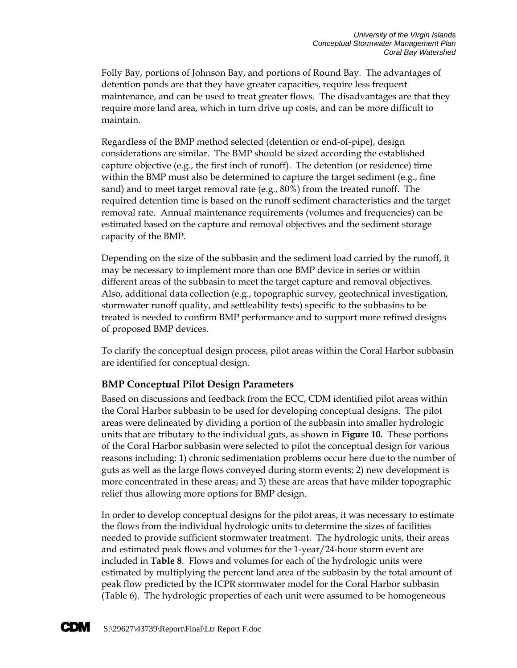Folly Bay, portions of Johnson Bay, and portions of Round Bay. The advantages of detention ponds are that they have greater capacities, require less frequent maintenance, and can be used to treat greater flows. The disadvantages are that they require more land area, which in turn drive up costs, and can be more difficult to maintain.

Regardless of the BMP method selected (detention or end-of-pipe), design considerations are similar. The BMP should be sized according the established capture objective (e.g., the first inch of runoff). The detention (or residence) time within the BMP must also be determined to capture the target sediment  $(e.g., fine)$ sand) and to meet target removal rate (e.g., 80%) from the treated runoff. The required detention time is based on the runoff sediment characteristics and the target removal rate. Annual maintenance requirements (volumes and frequencies) can be estimated based on the capture and removal objectives and the sediment storage capacity of the BMP.

Depending on the size of the subbasin and the sediment load carried by the runoff, it may be necessary to implement more than one BMP device in series or within different areas of the subbasin to meet the target capture and removal objectives. Also, additional data collection (e.g., topographic survey, geotechnical investigation, stormwater runoff quality, and settleability tests) specific to the subbasins to be treated is needed to confirm BMP performance and to support more refined designs of proposed BMP devices.

To clarify the conceptual design process, pilot areas within the Coral Harbor subbasin are identified for conceptual design.

### **BMP Conceptual Pilot Design Parameters**

Based on discussions and feedback from the ECC, CDM identified pilot areas within the Coral Harbor subbasin to be used for developing conceptual designs. The pilot areas were delineated by dividing a portion of the subbasin into smaller hydrologic units that are tributary to the individual guts, as shown in **Figure 10.** These portions of the Coral Harbor subbasin were selected to pilot the conceptual design for various reasons including: 1) chronic sedimentation problems occur here due to the number of guts as well as the large flows conveyed during storm events; 2) new development is more concentrated in these areas; and 3) these are areas that have milder topographic relief thus allowing more options for BMP design.

In order to develop conceptual designs for the pilot areas, it was necessary to estimate the flows from the individual hydrologic units to determine the sizes of facilities needed to provide sufficient stormwater treatment. The hydrologic units, their areas and estimated peak flows and volumes for the 1-year/24-hour storm event are included in **Table 8**. Flows and volumes for each of the hydrologic units were estimated by multiplying the percent land area of the subbasin by the total amount of peak flow predicted by the ICPR stormwater model for the Coral Harbor subbasin (Table 6). The hydrologic properties of each unit were assumed to be homogeneous

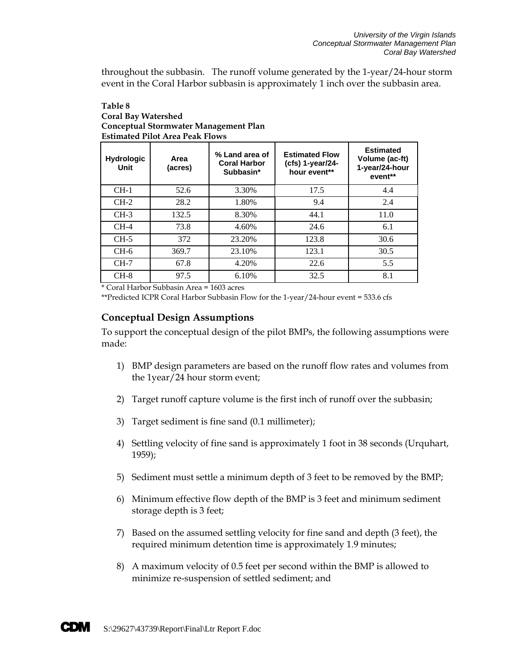throughout the subbasin. The runoff volume generated by the 1-year/24-hour storm event in the Coral Harbor subbasin is approximately 1 inch over the subbasin area.

#### **Table 8 Coral Bay Watershed Conceptual Stormwater Management Plan Estimated Pilot Area Peak Flows**

| <b>Hydrologic</b><br><b>Unit</b> | Area<br>(acres) | % Land area of<br><b>Coral Harbor</b><br>Subbasin* | <b>Estimated Flow</b><br>$(cfs)$ 1-year/24-<br>hour event** | <b>Estimated</b><br>Volume (ac-ft)<br>1-year/24-hour<br>event** |
|----------------------------------|-----------------|----------------------------------------------------|-------------------------------------------------------------|-----------------------------------------------------------------|
| $CH-1$                           | 52.6            | 3.30%                                              | 17.5                                                        | 4.4                                                             |
| $CH-2$                           | 28.2            | 1.80%                                              | 9.4                                                         | 2.4                                                             |
| $CH-3$                           | 132.5           | 8.30%                                              | 44.1                                                        | 11.0                                                            |
| $CH-4$                           | 73.8            | 4.60%                                              | 24.6                                                        | 6.1                                                             |
| $CH-5$                           | 372             | 23.20%                                             | 123.8                                                       | 30.6                                                            |
| $CH-6$                           | 369.7           | 23.10%                                             | 123.1                                                       | 30.5                                                            |
| $CH-7$                           | 67.8            | 4.20%                                              | 22.6                                                        | 5.5                                                             |
| $CH-8$                           | 97.5            | 6.10%                                              | 32.5                                                        | 8.1                                                             |

\* Coral Harbor Subbasin Area = 1603 acres

\*\*Predicted ICPR Coral Harbor Subbasin Flow for the 1-year/24-hour event = 533.6 cfs

### **Conceptual Design Assumptions**

To support the conceptual design of the pilot BMPs, the following assumptions were made:

- 1) BMP design parameters are based on the runoff flow rates and volumes from the 1year/24 hour storm event;
- 2) Target runoff capture volume is the first inch of runoff over the subbasin;
- 3) Target sediment is fine sand (0.1 millimeter);
- 4) Settling velocity of fine sand is approximately 1 foot in 38 seconds (Urquhart, 1959);
- 5) Sediment must settle a minimum depth of 3 feet to be removed by the BMP;
- 6) Minimum effective flow depth of the BMP is 3 feet and minimum sediment storage depth is 3 feet;
- 7) Based on the assumed settling velocity for fine sand and depth (3 feet), the required minimum detention time is approximately 1.9 minutes;
- 8) A maximum velocity of 0.5 feet per second within the BMP is allowed to minimize re-suspension of settled sediment; and

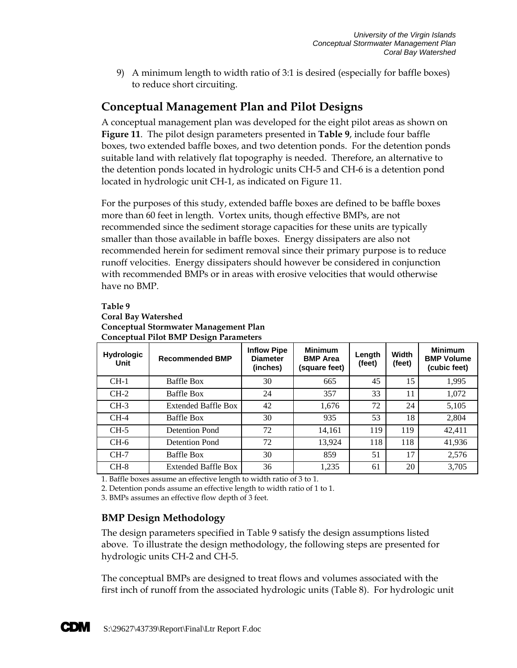9) A minimum length to width ratio of 3:1 is desired (especially for baffle boxes) to reduce short circuiting.

### **Conceptual Management Plan and Pilot Designs**

A conceptual management plan was developed for the eight pilot areas as shown on **Figure 11**. The pilot design parameters presented in **Table 9**, include four baffle boxes, two extended baffle boxes, and two detention ponds. For the detention ponds suitable land with relatively flat topography is needed. Therefore, an alternative to the detention ponds located in hydrologic units CH-5 and CH-6 is a detention pond located in hydrologic unit CH-1, as indicated on Figure 11.

For the purposes of this study, extended baffle boxes are defined to be baffle boxes more than 60 feet in length. Vortex units, though effective BMPs, are not recommended since the sediment storage capacities for these units are typically smaller than those available in baffle boxes. Energy dissipaters are also not recommended herein for sediment removal since their primary purpose is to reduce runoff velocities. Energy dissipaters should however be considered in conjunction with recommended BMPs or in areas with erosive velocities that would otherwise have no BMP.

#### **Table 9**

### **Coral Bay Watershed Conceptual Stormwater Management Plan Conceptual Pilot BMP Design Parameters**

| <b>Hydrologic</b><br>Unit | <b>Recommended BMP</b>     | <b>Inflow Pipe</b><br><b>Diameter</b><br>(inches) | <b>Minimum</b><br><b>BMP</b> Area<br>(square feet) | Length<br>(feet) | Width<br>(feet) | <b>Minimum</b><br><b>BMP Volume</b><br>(cubic feet) |
|---------------------------|----------------------------|---------------------------------------------------|----------------------------------------------------|------------------|-----------------|-----------------------------------------------------|
| $CH-1$                    | <b>Baffle Box</b>          | 30                                                | 665                                                | 45               | 15              | 1,995                                               |
| $CH-2$                    | <b>Baffle Box</b>          | 24                                                | 357                                                | 33               | 11              | 1,072                                               |
| $CH-3$                    | <b>Extended Baffle Box</b> | 42                                                | 1,676                                              | 72               | 24              | 5,105                                               |
| $CH-4$                    | <b>Baffle Box</b>          | 30                                                | 935                                                | 53               | 18              | 2,804                                               |
| $CH-5$                    | Detention Pond             | 72                                                | 14,161                                             | 119              | 119             | 42,411                                              |
| $CH-6$                    | Detention Pond             | 72                                                | 13,924                                             | 118              | 118             | 41,936                                              |
| $CH-7$                    | <b>Baffle Box</b>          | 30                                                | 859                                                | 51               | 17              | 2,576                                               |
| $CH-8$                    | <b>Extended Baffle Box</b> | 36                                                | 1,235                                              | 61               | 20              | 3,705                                               |

1. Baffle boxes assume an effective length to width ratio of 3 to 1.

2. Detention ponds assume an effective length to width ratio of 1 to 1.

3. BMPs assumes an effective flow depth of 3 feet.

### **BMP Design Methodology**

The design parameters specified in Table 9 satisfy the design assumptions listed above. To illustrate the design methodology, the following steps are presented for hydrologic units CH-2 and CH-5.

The conceptual BMPs are designed to treat flows and volumes associated with the first inch of runoff from the associated hydrologic units (Table 8). For hydrologic unit